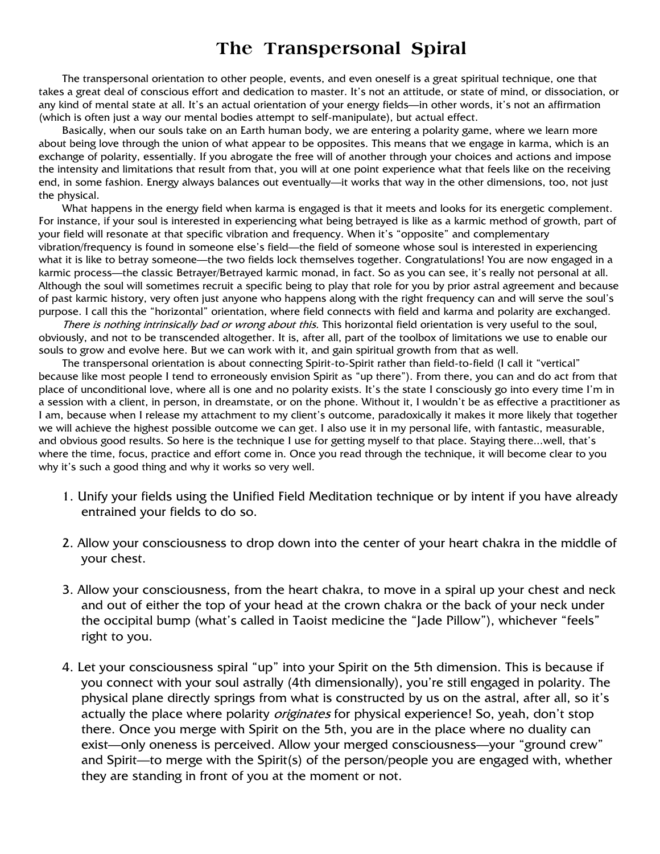## **The Transpersonal Spiral**

The transpersonal orientation to other people, events, and even oneself is a great spiritual technique, one that takes a great deal of conscious effort and dedication to master. It's not an attitude, or state of mind, or dissociation, or any kind of mental state at all. It's an actual orientation of your energy fields—in other words, it's not an affirmation (which is often just a way our mental bodies attempt to self-manipulate), but actual effect.

Basically, when our souls take on an Earth human body, we are entering a polarity game, where we learn more about being love through the union of what appear to be opposites. This means that we engage in karma, which is an exchange of polarity, essentially. If you abrogate the free will of another through your choices and actions and impose the intensity and limitations that result from that, you will at one point experience what that feels like on the receiving end, in some fashion. Energy always balances out eventually—it works that way in the other dimensions, too, not just the physical.

What happens in the energy field when karma is engaged is that it meets and looks for its energetic complement. For instance, if your soul is interested in experiencing what being betrayed is like as a karmic method of growth, part of your field will resonate at that specific vibration and frequency. When it's "opposite" and complementary vibration/frequency is found in someone else's field—the field of someone whose soul is interested in experiencing what it is like to betray someone—the two fields lock themselves together. Congratulations! You are now engaged in a karmic process—the classic Betrayer/Betrayed karmic monad, in fact. So as you can see, it's really not personal at all. Although the soul will sometimes recruit a specific being to play that role for you by prior astral agreement and because of past karmic history, very often just anyone who happens along with the right frequency can and will serve the soul's purpose. I call this the "horizontal" orientation, where field connects with field and karma and polarity are exchanged.

There is nothing intrinsically bad or wrong about this. This horizontal field orientation is very useful to the soul, obviously, and not to be transcended altogether. It is, after all, part of the toolbox of limitations we use to enable our souls to grow and evolve here. But we can work with it, and gain spiritual growth from that as well.

The transpersonal orientation is about connecting Spirit-to-Spirit rather than field-to-field (I call it "vertical" because like most people I tend to erroneously envision Spirit as "up there"). From there, you can and do act from that place of unconditional love, where all is one and no polarity exists. It's the state I consciously go into every time I'm in a session with a client, in person, in dreamstate, or on the phone. Without it, I wouldn't be as effective a practitioner as I am, because when I release my attachment to my client's outcome, paradoxically it makes it more likely that together we will achieve the highest possible outcome we can get. I also use it in my personal life, with fantastic, measurable, and obvious good results. So here is the technique I use for getting myself to that place. Staying there...well, that's where the time, focus, practice and effort come in. Once you read through the technique, it will become clear to you why it's such a good thing and why it works so very well.

- 1. Unify your fields using the Unified Field Meditation technique or by intent if you have already entrained your fields to do so.
- 2. Allow your consciousness to drop down into the center of your heart chakra in the middle of your chest.
- 3. Allow your consciousness, from the heart chakra, to move in a spiral up your chest and neck and out of either the top of your head at the crown chakra or the back of your neck under the occipital bump (what's called in Taoist medicine the "Jade Pillow"), whichever "feels" right to you.
- 4. Let your consciousness spiral "up" into your Spirit on the 5th dimension. This is because if you connect with your soul astrally (4th dimensionally), you're still engaged in polarity. The physical plane directly springs from what is constructed by us on the astral, after all, so it's actually the place where polarity *originates* for physical experience! So, yeah, don't stop there. Once you merge with Spirit on the 5th, you are in the place where no duality can exist—only oneness is perceived. Allow your merged consciousness—your "ground crew" and Spirit—to merge with the Spirit(s) of the person/people you are engaged with, whether they are standing in front of you at the moment or not.